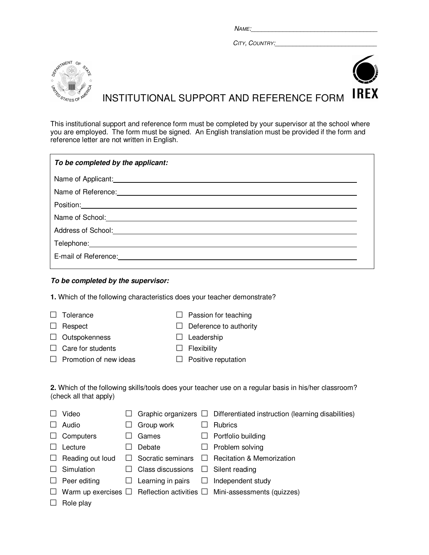$Name:$ 

CITY, COUNTRY:



**IREX** INSTITUTIONAL SUPPORT AND REFERENCE FORM

This institutional support and reference form must be completed by your supervisor at the school where you are employed. The form must be signed. An English translation must be provided if the form and reference letter are not written in English.

| To be completed by the applicant:                                                                             |
|---------------------------------------------------------------------------------------------------------------|
|                                                                                                               |
| Name of Reference: Manual Manual Manual Manual Manual Manual Manual Manual Manual Manual Manual Manual Manual |
|                                                                                                               |
| Name of School: Name of School:                                                                               |
| Address of School: <u>Cambridge Communication</u>                                                             |
|                                                                                                               |
| E-mail of Reference:                                                                                          |
|                                                                                                               |

## **To be completed by the supervisor:**

**1.** Which of the following characteristics does your teacher demonstrate?

- 
- □ Tolerance □ Passion for teaching
- □ Respect □ Deference to authority
- □ Outspokenness □ Leadership
- □ Care for students □ Flexibility
- 
- □ Promotion of new ideas □ Positive reputation
- 

| 2. Which of the following skills/tools does your teacher use on a regular basis in his/her classroom? |  |  |
|-------------------------------------------------------------------------------------------------------|--|--|
| (check all that apply)                                                                                |  |  |

|        | Video                   |         |                                 |        | Graphic organizers $\Box$ Differentiated instruction (learning disabilities)            |
|--------|-------------------------|---------|---------------------------------|--------|-----------------------------------------------------------------------------------------|
|        | Audio                   |         | Group work                      |        | <b>Rubrics</b>                                                                          |
| $\Box$ | Computers               |         | Games                           | ш      | Portfolio building                                                                      |
|        | Lecture                 |         | Debate                          | $\Box$ | Problem solving                                                                         |
|        | $\Box$ Reading out loud |         | $\Box$ Socratic seminars $\Box$ |        | <b>Recitation &amp; Memorization</b>                                                    |
|        | Simulation              |         | $\Box$ Class discussions        |        | $\Box$ Silent reading                                                                   |
| $\Box$ | Peer editing            | $\perp$ | Learning in pairs $\square$     |        | Independent study                                                                       |
|        |                         |         |                                 |        | $\Box$ Warm up exercises $\Box$ Reflection activities $\Box$ Mini-assessments (quizzes) |
|        | Role play               |         |                                 |        |                                                                                         |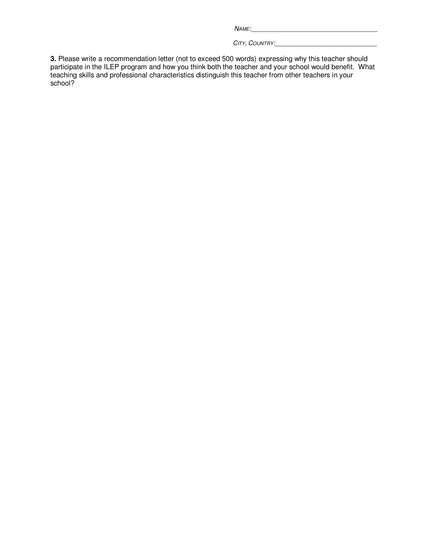| <b>NAME</b> |  |
|-------------|--|
|             |  |

CITY, COUNTRY:

**3.** Please write a recommendation letter (not to exceed 500 words) expressing why this teacher should participate in the ILEP program and how you think both the teacher and your school would benefit. What teaching skills and professional characteristics distinguish this teacher from other teachers in your school?